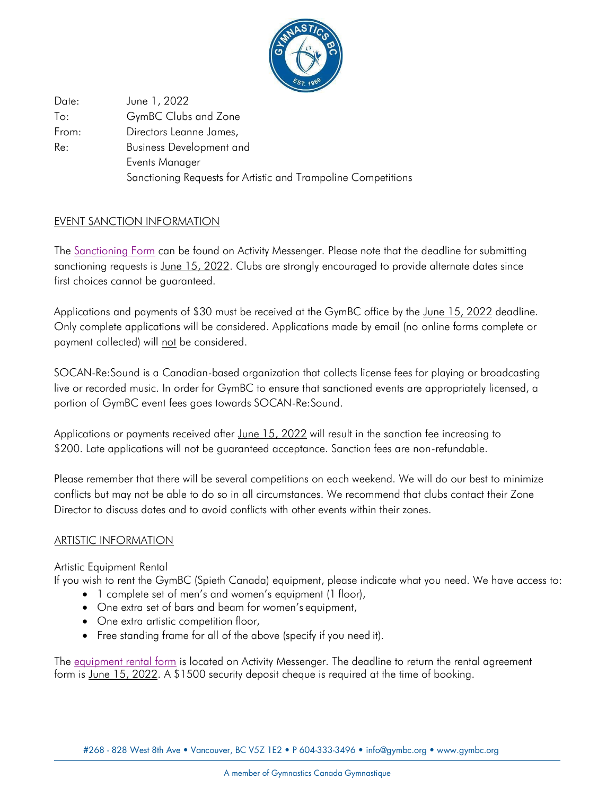

Date: To: From: Re: June 1, 2022 GymBC Clubs and Zone Directors Leanne James, Business Development and Events Manager Sanctioning Requests for Artistic and Trampoline Competitions

# EVENT SANCTION INFORMATION

The [Sanctioning Form](https://activitymessenger.com/p/mAPZGL2) can be found on Activity Messenger. Please note that the deadline for submitting sanctioning requests is June 15, 2022. Clubs are strongly encouraged to provide alternate dates since first choices cannot be guaranteed.

Applications and payments of \$30 must be received at the GymBC office by the June 15, 2022 deadline. Only complete applications will be considered. Applications made by email (no online forms complete or payment collected) will not be considered.

SOCAN-Re:Sound is a Canadian-based organization that collects license fees for playing or broadcasting live or recorded music. In order for GymBC to ensure that sanctioned events are appropriately licensed, a portion of GymBC event fees goes towards SOCAN-Re:Sound.

Applications or payments received after June 15, 2022 will result in the sanction fee increasing to \$200. Late applications will not be quaranteed acceptance. Sanction fees are non-refundable.

Please remember that there will be several competitions on each weekend. We will do our best to minimize conflicts but may not be able to do so in all circumstances. We recommend that clubs contact their Zone Director to discuss dates and to avoid conflicts with other events within their zones.

# ARTISTIC INFORMATION

Artistic Equipment Rental

If you wish to rent the GymBC (Spieth Canada) equipment, please indicate what you need. We have access to:

- 1 complete set of men's and women's equipment (1 floor),
- One extra set of bars and beam for women's equipment,
- One extra artistic competition floor,
- Free standing frame for all of the above (specify if you need it).

The [equipment rental form](https://activitymessenger.com/p/4wNkq8Q) is located on Activity Messenger. The deadline to return the rental agreement form is June 15, 2022. A \$1500 security deposit cheque is required at the time of booking.